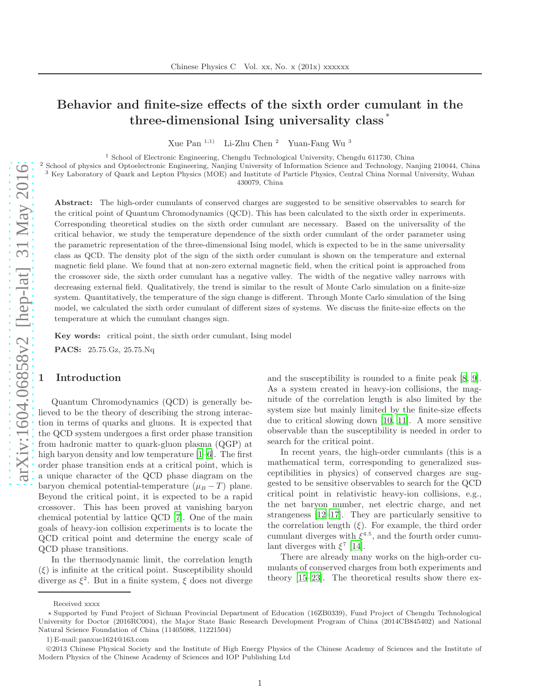# Behavior and finite-size effects of the sixth order cumulant in the three-dimensional Ising universality class \*

Xue Pan 1;1) Li-Zhu Chen <sup>2</sup> Yuan-Fang Wu <sup>3</sup>

<sup>1</sup> School of Electronic Engineering, Chengdu Technological University, Chengdu 611730, China

<sup>2</sup> School of physics and Optoelectronic Engineering, Nanjing University of Information Science and Technology, Nanjing 210044, China <sup>3</sup> Key Laboratory of Quark and Lepton Physics (MOE) and Institute of Particle Physics, Central China Normal University, Wuhan 430079, China

Abstract: The high-order cumulants of conserved charges are suggested to be sensitive observables to search for the critical point of Quantum Chromodynamics (QCD). This has been calculated to the sixth order in experiments. Corresponding theoretical studies on the sixth order cumulant are necessary. Based on the universality of the critical behavior, we study the temperature dependence of the sixth order cumulant of the order parameter using the parametric representation of the three-dimensional Ising model, which is expected to be in the same universality class as QCD. The density plot of the sign of the sixth order cumulant is shown on the temperature and external magnetic field plane. We found that at non-zero external magnetic field, when the critical point is approached from the crossover side, the sixth order cumulant has a negative valley. The width of the negative valley narrows with decreasing external field. Qualitatively, the trend is similar to the result of Monte Carlo simulation on a finite-size system. Quantitatively, the temperature of the sign change is different. Through Monte Carlo simulation of the Ising model, we calculated the sixth order cumulant of different sizes of systems. We discuss the finite-size effects on the temperature at which the cumulant changes sign.

Key words: critical point, the sixth order cumulant, Ising model

PACS: 25.75.Gz, 25.75.Nq

#### **Introduction**

Quantum Chromodynamics (QCD) is generally believed to be the theory of describing the strong interaction in terms of quarks and gluons. It is expected that the QCD system undergoes a first order phase transition from hadronic matter to quark-gluon plasma (QGP) at high baryon density and low temperature  $[1-6]$ . The first order phase transition ends at a critical point, which is a unique character of the QCD phase diagram on the baryon chemical potential-temperature  $(\mu_B - T)$  plane. Beyond the critical point, it is expected to be a rapid crossover. This has been proved at vanishing baryon chemical potential by lattice QCD [\[7](#page-4-2)]. One of the main goals of heavy-ion collision experiments is to locate the QCD critical point and determine the energy scale of QCD phase transitions.

In the thermodynamic limit, the correlation length  $(\xi)$  is infinite at the critical point. Susceptibility should diverge as  $\xi^2$ . But in a finite system,  $\xi$  does not diverge and the susceptibility is rounded to a finite peak [\[8](#page-4-3), [9\]](#page-4-4). As a system created in heavy-ion collisions, the magnitude of the correlation length is also limited by the system size but mainly limited by the finite-size effects due to critical slowing down [\[10](#page-4-5), [11\]](#page-4-6). A more sensitive observable than the susceptibility is needed in order to search for the critical point.

In recent years, the high-order cumulants (this is a mathematical term, corresponding to generalized susceptibilities in physics) of conserved charges are suggested to be sensitive observables to search for the QCD critical point in relativistic heavy-ion collisions, e.g., the net baryon number, net electric charge, and net strangeness [\[12](#page-4-7)[–17\]](#page-4-8). They are particularly sensitive to the correlation length  $(\xi)$ . For example, the third order cumulant diverges with  $\xi^{4.5}$ , and the fourth order cumulant diverges with  $\xi^7$  [\[14\]](#page-4-9).

There are already many works on the high-order cumulants of conserved charges from both experiments and theory [\[15](#page-4-10)[–23\]](#page-4-11). The theoretical results show there ex-

Received xxxx

<sup>∗</sup> Supported by Fund Project of Sichuan Provincial Department of Education (16ZB0339), Fund Project of Chengdu Technological University for Doctor (2016RC004), the Major State Basic Research Development Program of China (2014CB845402) and National Natural Science Foundation of China (11405088, 11221504)

<sup>1)</sup> E-mail: panxue1624@163.com

c 2013 Chinese Physical Society and the Institute of High Energy Physics of the Chinese Academy of Sciences and the Institute of Modern Physics of the Chinese Academy of Sciences and IOP Publishing Ltd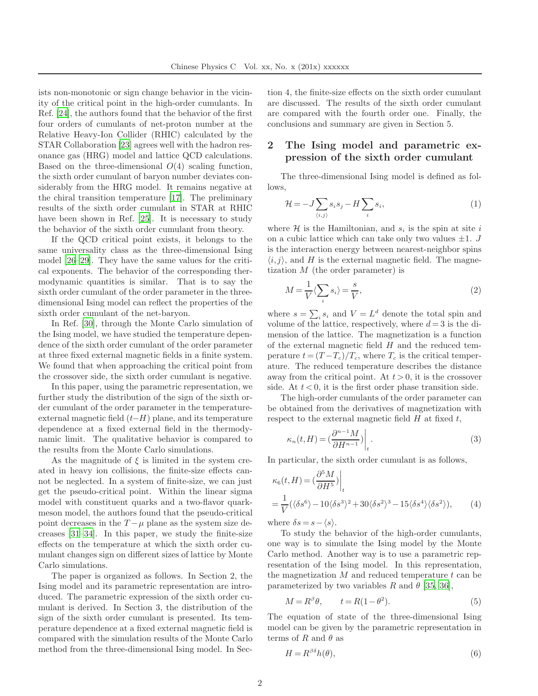ists non-monotonic or sign change behavior in the vicinity of the critical point in the high-order cumulants. In Ref. [\[24\]](#page-4-12), the authors found that the behavior of the first four orders of cumulants of net-proton number at the Relative Heavy-Ion Collider (RHIC) calculated by the STAR Collaboration [\[23\]](#page-4-11) agrees well with the hadron resonance gas (HRG) model and lattice QCD calculations. Based on the three-dimensional  $O(4)$  scaling function, the sixth order cumulant of baryon number deviates considerably from the HRG model. It remains negative at the chiral transition temperature [\[17](#page-4-8)]. The preliminary results of the sixth order cumulant in STAR at RHIC have been shown in Ref. [\[25](#page-4-13)]. It is necessary to study the behavior of the sixth order cumulant from theory.

If the QCD critical point exists, it belongs to the same universality class as the three-dimensional Ising model [26–29]. They have the same values for the critical exponents. The behavior of the corresponding thermodynamic quantities is similar. That is to say the sixth order cumulant of the order parameter in the threedimensional Ising model can reflect the properties of the sixth order cumulant of the net-baryon.

In Ref. [\[30\]](#page-4-14), through the Monte Carlo simulation of the Ising model, we have studied the temperature dependence of the sixth order cumulant of the order parameter at three fixed external magnetic fields in a finite system. We found that when approaching the critical point from the crossover side, the sixth order cumulant is negative.

In this paper, using the parametric representation, we further study the distribution of the sign of the sixth order cumulant of the order parameter in the temperatureexternal magnetic field  $(t-H)$  plane, and its temperature dependence at a fixed external field in the thermodynamic limit. The qualitative behavior is compared to the results from the Monte Carlo simulations.

As the magnitude of  $\xi$  is limited in the system created in heavy ion collisions, the finite-size effects cannot be neglected. In a system of finite-size, we can just get the pseudo-critical point. Within the linear sigma model with constituent quarks and a two-flavor quarkmeson model, the authors found that the pseudo-critical point decreases in the  $T - \mu$  plane as the system size decreases [\[31](#page-4-15)[–34\]](#page-4-16). In this paper, we study the finite-size effects on the temperature at which the sixth order cumulant changes sign on different sizes of lattice by Monte Carlo simulations.

The paper is organized as follows. In Section 2, the Ising model and its parametric representation are introduced. The parametric expression of the sixth order cumulant is derived. In Section 3, the distribution of the sign of the sixth order cumulant is presented. Its temperature dependence at a fixed external magnetic field is compared with the simulation results of the Monte Carlo method from the three-dimensional Ising model. In Section 4, the finite-size effects on the sixth order cumulant are discussed. The results of the sixth order cumulant are compared with the fourth order one. Finally, the conclusions and summary are given in Section 5.

# 2 The Ising model and parametric expression of the sixth order cumulant

The three-dimensional Ising model is defined as follows,

$$
\mathcal{H} = -J \sum_{\langle i,j \rangle} s_i s_j - H \sum_i s_i,\tag{1}
$$

where  $\mathcal H$  is the Hamiltonian, and  $s_i$  is the spin at site i on a cubic lattice which can take only two values  $\pm 1$ . J is the interaction energy between nearest-neighbor spins  $\langle i, j \rangle$ , and H is the external magnetic field. The magnetization  $M$  (the order parameter) is

$$
M = \frac{1}{V} \langle \sum_{i} s_i \rangle = \frac{s}{V},\tag{2}
$$

where  $s = \sum_i s_i$  and  $V = L^d$  denote the total spin and volume of the lattice, respectively, where  $d = 3$  is the dimension of the lattice. The magnetization is a function of the external magnetic field  $H$  and the reduced temperature  $t = (T - T_c)/T_c$ , where  $T_c$  is the critical temperature. The reduced temperature describes the distance away from the critical point. At  $t > 0$ , it is the crossover side. At  $t < 0$ , it is the first order phase transition side.

The high-order cumulants of the order parameter can be obtained from the derivatives of magnetization with respect to the external magnetic field  $H$  at fixed  $t$ ,

<span id="page-1-0"></span>
$$
\kappa_n(t,H) = \left(\frac{\partial^{n-1}M}{\partial H^{n-1}}\right)\Big|_t.
$$
\n(3)

In particular, the sixth order cumulant is as follows,

$$
\kappa_6(t, H) = \left(\frac{\partial^5 M}{\partial H^5}\right)\Big|_t
$$
  
=  $\frac{1}{V} (\langle \delta s^6 \rangle - 10 \langle \delta s^3 \rangle^2 + 30 \langle \delta s^2 \rangle^3 - 15 \langle \delta s^4 \rangle \langle \delta s^2 \rangle),$  (4)

where  $\delta s = s - \langle s \rangle$ .

To study the behavior of the high-order cumulants, one way is to simulate the Ising model by the Monte Carlo method. Another way is to use a parametric representation of the Ising model. In this representation, the magnetization  $M$  and reduced temperature  $t$  can be parameterized by two variables R and  $\theta$  [35, 36],

<span id="page-1-1"></span>
$$
M = R^{\beta} \theta, \qquad t = R(1 - \theta^2). \tag{5}
$$

The equation of state of the three-dimensional Ising model can be given by the parametric representation in terms of R and  $\theta$  as

<span id="page-1-2"></span>
$$
H = R^{\beta \delta} h(\theta),\tag{6}
$$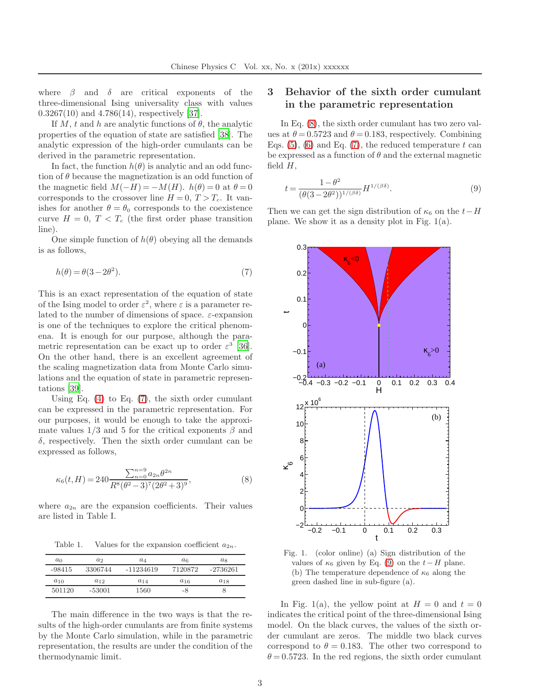where  $\beta$  and  $\delta$  are critical exponents of the three-dimensional Ising universality class with values 0.3267(10) and 4.786(14), respectively [37].

If M, t and h are analytic functions of  $\theta$ , the analytic properties of the equation of state are satisfied [38]. The analytic expression of the high-order cumulants can be derived in the parametric representation.

In fact, the function  $h(\theta)$  is analytic and an odd function of  $\theta$  because the magnetization is an odd function of the magnetic field  $M(-H) = -M(H)$ .  $h(\theta) = 0$  at  $\theta = 0$ corresponds to the crossover line  $H = 0, T > T_c$ . It vanishes for another  $\theta = \theta_0$  corresponds to the coexistence curve  $H = 0, T < T_c$  (the first order phase transition line).

One simple function of  $h(\theta)$  obeying all the demands is as follows,

$$
h(\theta) = \theta(3 - 2\theta^2). \tag{7}
$$

This is an exact representation of the equation of state of the Ising model to order  $\varepsilon^2$ , where  $\varepsilon$  is a parameter related to the number of dimensions of space.  $\varepsilon$ -expansion is one of the techniques to explore the critical phenomena. It is enough for our purpose, although the parametric representation can be exact up to order  $\varepsilon^3$  [36]. On the other hand, there is an excellent agreement of the scaling magnetization data from Monte Carlo simulations and the equation of state in parametric representations [39].

Using Eq. [\(4\)](#page-1-0) to Eq. [\(7\)](#page-2-0), the sixth order cumulant can be expressed in the parametric representation. For our purposes, it would be enough to take the approximate values  $1/3$  and 5 for the critical exponents  $\beta$  and δ, respectively. Then the sixth order cumulant can be expressed as follows,

$$
\kappa_6(t,H) = 240 \frac{\sum_{n=0}^{n=9} a_{2n} \theta^{2n}}{R^8 (\theta^2 - 3)^7 (2\theta^2 + 3)^9},\tag{8}
$$

where  $a_{2n}$  are the expansion coefficients. Their values are listed in Table I.

Table 1. Values for the expansion coefficient  $a_{2n}$ .

| $a_0$    | $a_2$    | $a_4$     | $a_6$    | $a_8$      |
|----------|----------|-----------|----------|------------|
| $-98415$ | 3306744  | -11234619 | 7120872  | $-2736261$ |
| $a_{10}$ | $a_{12}$ | $a_{14}$  | $a_{16}$ | $a_{18}$   |
| 501120   | $-53001$ | 1560      | -8       |            |

The main difference in the two ways is that the results of the high-order cumulants are from finite systems by the Monte Carlo simulation, while in the parametric representation, the results are under the condition of the thermodynamic limit.

## 3 Behavior of the sixth order cumulant in the parametric representation

In Eq. [\(8\)](#page-2-1), the sixth order cumulant has two zero values at  $\theta = 0.5723$  and  $\theta = 0.183$ , respectively. Combining Eqs.  $(5)$ ,  $(6)$  and Eq.  $(7)$ , the reduced temperature t can be expressed as a function of  $\theta$  and the external magnetic field  $H$ ,

<span id="page-2-2"></span>
$$
t = \frac{1 - \theta^2}{(\theta(3 - 2\theta^2))^{1/(\beta\delta)}} H^{1/(\beta\delta)}.
$$
\n
$$
(9)
$$

Then we can get the sign distribution of  $\kappa_6$  on the  $t-H$ plane. We show it as a density plot in Fig. 1(a).

<span id="page-2-0"></span>

<span id="page-2-1"></span>Fig. 1. (color online) (a) Sign distribution of the values of  $\kappa_6$  given by Eq. [\(9\)](#page-2-2) on the  $t-H$  plane. (b) The temperature dependence of  $\kappa_6$  along the green dashed line in sub-figure (a).

In Fig. 1(a), the yellow point at  $H = 0$  and  $t = 0$ indicates the critical point of the three-dimensional Ising model. On the black curves, the values of the sixth order cumulant are zeros. The middle two black curves correspond to  $\theta = 0.183$ . The other two correspond to  $\theta = 0.5723$ . In the red regions, the sixth order cumulant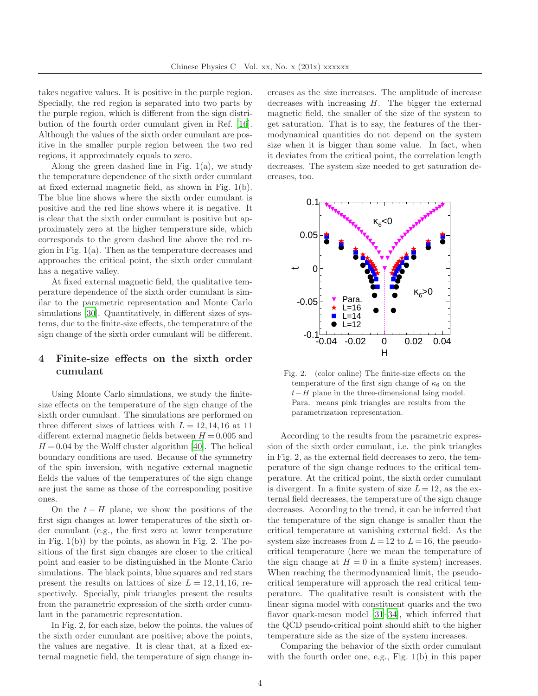takes negative values. It is positive in the purple region. Specially, the red region is separated into two parts by the purple region, which is different from the sign distribution of the fourth order cumulant given in Ref. [\[16\]](#page-4-17). Although the values of the sixth order cumulant are positive in the smaller purple region between the two red regions, it approximately equals to zero.

Along the green dashed line in Fig. 1(a), we study the temperature dependence of the sixth order cumulant at fixed external magnetic field, as shown in Fig. 1(b). The blue line shows where the sixth order cumulant is positive and the red line shows where it is negative. It is clear that the sixth order cumulant is positive but approximately zero at the higher temperature side, which corresponds to the green dashed line above the red region in Fig. 1(a). Then as the temperature decreases and approaches the critical point, the sixth order cumulant has a negative valley.

At fixed external magnetic field, the qualitative temperature dependence of the sixth order cumulant is similar to the parametric representation and Monte Carlo simulations [\[30\]](#page-4-14). Quantitatively, in different sizes of systems, due to the finite-size effects, the temperature of the sign change of the sixth order cumulant will be different.

### 4 Finite-size effects on the sixth order cumulant

Using Monte Carlo simulations, we study the finitesize effects on the temperature of the sign change of the sixth order cumulant. The simulations are performed on three different sizes of lattices with  $L = 12, 14, 16$  at 11 different external magnetic fields between  $H = 0.005$  and  $H = 0.04$  by the Wolff cluster algorithm [\[40\]](#page-4-18). The helical boundary conditions are used. Because of the symmetry of the spin inversion, with negative external magnetic fields the values of the temperatures of the sign change are just the same as those of the corresponding positive ones.

On the  $t - H$  plane, we show the positions of the first sign changes at lower temperatures of the sixth order cumulant (e.g., the first zero at lower temperature in Fig.  $1(b)$  by the points, as shown in Fig. 2. The positions of the first sign changes are closer to the critical point and easier to be distinguished in the Monte Carlo simulations. The black points, blue squares and red stars present the results on lattices of size  $L = 12, 14, 16$ , respectively. Specially, pink triangles present the results from the parametric expression of the sixth order cumulant in the parametric representation.

In Fig. 2, for each size, below the points, the values of the sixth order cumulant are positive; above the points, the values are negative. It is clear that, at a fixed external magnetic field, the temperature of sign change increases as the size increases. The amplitude of increase decreases with increasing  $H$ . The bigger the external magnetic field, the smaller of the size of the system to get saturation. That is to say, the features of the thermodynamical quantities do not depend on the system size when it is bigger than some value. In fact, when it deviates from the critical point, the correlation length decreases. The system size needed to get saturation decreases, too.



Fig. 2. (color online) The finite-size effects on the temperature of the first sign change of  $\kappa_6$  on the  $t-H$  plane in the three-dimensional Ising model. Para. means pink triangles are results from the parametrization representation.

According to the results from the parametric expression of the sixth order cumulant, i.e. the pink triangles in Fig. 2, as the external field decreases to zero, the temperature of the sign change reduces to the critical temperature. At the critical point, the sixth order cumulant is divergent. In a finite system of size  $L = 12$ , as the external field decreases, the temperature of the sign change decreases. According to the trend, it can be inferred that the temperature of the sign change is smaller than the critical temperature at vanishing external field. As the system size increases from  $L = 12$  to  $L = 16$ , the pseudocritical temperature (here we mean the temperature of the sign change at  $H = 0$  in a finite system) increases. When reaching the thermodynamical limit, the pseudocritical temperature will approach the real critical temperature. The qualitative result is consistent with the linear sigma model with constituent quarks and the two flavor quark-meson model [\[31](#page-4-15)[–34\]](#page-4-16), which inferred that the QCD pseudo-critical point should shift to the higher temperature side as the size of the system increases.

Comparing the behavior of the sixth order cumulant with the fourth order one, e.g., Fig. 1(b) in this paper